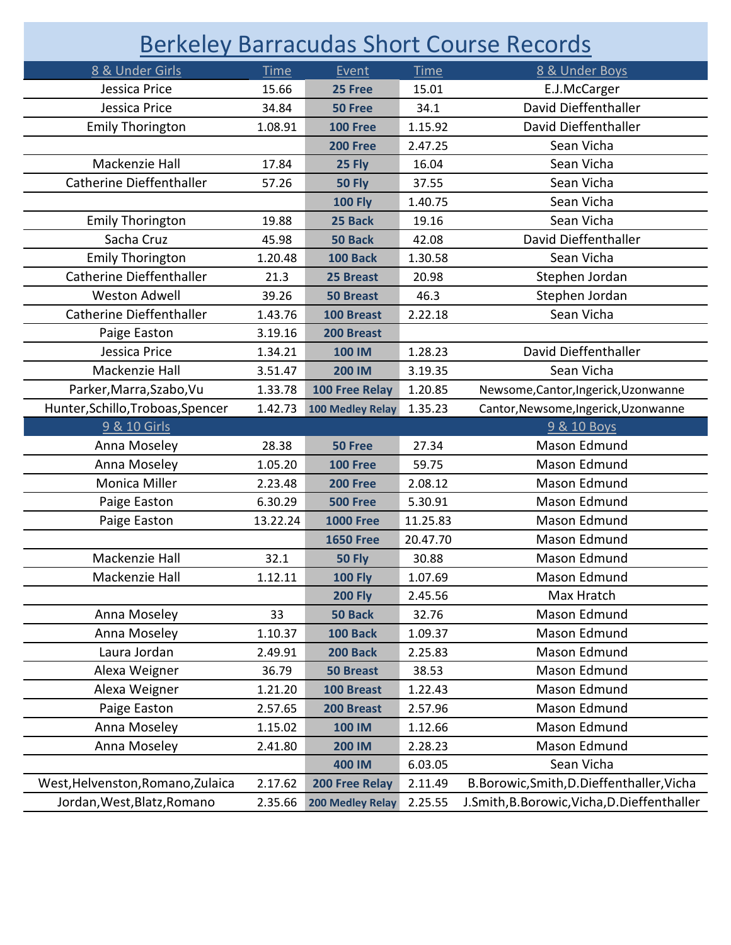| <b>Berkeley Barracudas Short Course Records</b> |             |                       |             |                                           |  |  |  |
|-------------------------------------------------|-------------|-----------------------|-------------|-------------------------------------------|--|--|--|
| 8 & Under Girls                                 | <b>Time</b> | Event                 | <b>Time</b> | 8 & Under Boys                            |  |  |  |
| Jessica Price                                   | 15.66       | 25 Free               | 15.01       | E.J.McCarger                              |  |  |  |
| Jessica Price                                   | 34.84       | 50 Free               | 34.1        | David Dieffenthaller                      |  |  |  |
| <b>Emily Thorington</b>                         | 1.08.91     | <b>100 Free</b>       | 1.15.92     | David Dieffenthaller                      |  |  |  |
|                                                 |             | <b>200 Free</b>       | 2.47.25     | Sean Vicha                                |  |  |  |
| Mackenzie Hall                                  | 17.84       | 25 Fly                | 16.04       | Sean Vicha                                |  |  |  |
| <b>Catherine Dieffenthaller</b>                 | 57.26       | <b>50 Fly</b>         | 37.55       | Sean Vicha                                |  |  |  |
|                                                 |             | <b>100 Fly</b>        | 1.40.75     | Sean Vicha                                |  |  |  |
| <b>Emily Thorington</b>                         | 19.88       | 25 Back               | 19.16       | Sean Vicha                                |  |  |  |
| Sacha Cruz                                      | 45.98       | 50 Back               | 42.08       | David Dieffenthaller                      |  |  |  |
| <b>Emily Thorington</b>                         | 1.20.48     | <b>100 Back</b>       | 1.30.58     | Sean Vicha                                |  |  |  |
| <b>Catherine Dieffenthaller</b>                 | 21.3        | 25 Breast             | 20.98       | Stephen Jordan                            |  |  |  |
| <b>Weston Adwell</b>                            | 39.26       | <b>50 Breast</b>      | 46.3        | Stephen Jordan                            |  |  |  |
| <b>Catherine Dieffenthaller</b>                 | 1.43.76     | 100 Breast            | 2.22.18     | Sean Vicha                                |  |  |  |
| Paige Easton                                    | 3.19.16     | 200 Breast            |             |                                           |  |  |  |
| Jessica Price                                   | 1.34.21     | <b>100 IM</b>         | 1.28.23     | David Dieffenthaller                      |  |  |  |
| Mackenzie Hall                                  | 3.51.47     | <b>200 IM</b>         | 3.19.35     | Sean Vicha                                |  |  |  |
| Parker, Marra, Szabo, Vu                        | 1.33.78     | 100 Free Relay        | 1.20.85     | Newsome, Cantor, Ingerick, Uzonwanne      |  |  |  |
| Hunter, Schillo, Troboas, Spencer               | 1.42.73     | 100 Medley Relay      | 1.35.23     | Cantor, Newsome, Ingerick, Uzonwanne      |  |  |  |
| 9 & 10 Girls                                    |             |                       |             | 9 & 10 Boys                               |  |  |  |
|                                                 |             |                       |             |                                           |  |  |  |
| Anna Moseley                                    | 28.38       | 50 Free               | 27.34       | Mason Edmund                              |  |  |  |
| Anna Moseley                                    | 1.05.20     | <b>100 Free</b>       | 59.75       | Mason Edmund                              |  |  |  |
| Monica Miller                                   | 2.23.48     | <b>200 Free</b>       | 2.08.12     | Mason Edmund                              |  |  |  |
| Paige Easton                                    | 6.30.29     | <b>500 Free</b>       | 5.30.91     | Mason Edmund                              |  |  |  |
| Paige Easton                                    | 13.22.24    | <b>1000 Free</b>      | 11.25.83    | Mason Edmund                              |  |  |  |
|                                                 |             | <b>1650 Free</b>      | 20.47.70    | Mason Edmund                              |  |  |  |
| Mackenzie Hall                                  | 32.1        | <b>50 Fly</b>         | 30.88       | Mason Edmund                              |  |  |  |
| Mackenzie Hall                                  | 1.12.11     | <b>100 Fly</b>        | 1.07.69     | Mason Edmund                              |  |  |  |
|                                                 |             | <b>200 Fly</b>        | 2.45.56     | Max Hratch                                |  |  |  |
| Anna Moseley                                    | 33          | 50 Back               | 32.76       | Mason Edmund                              |  |  |  |
| Anna Moseley                                    | 1.10.37     | 100 Back              | 1.09.37     | Mason Edmund                              |  |  |  |
| Laura Jordan                                    | 2.49.91     | 200 Back              | 2.25.83     | Mason Edmund                              |  |  |  |
| Alexa Weigner                                   | 36.79       | <b>50 Breast</b>      | 38.53       | Mason Edmund                              |  |  |  |
| Alexa Weigner                                   | 1.21.20     | 100 Breast            | 1.22.43     | Mason Edmund                              |  |  |  |
| Paige Easton                                    | 2.57.65     | 200 Breast            | 2.57.96     | Mason Edmund                              |  |  |  |
| Anna Moseley                                    | 1.15.02     | <b>100 IM</b>         | 1.12.66     | Mason Edmund                              |  |  |  |
| Anna Moseley                                    | 2.41.80     | <b>200 IM</b>         | 2.28.23     | Mason Edmund                              |  |  |  |
|                                                 |             | 400 IM                | 6.03.05     | Sean Vicha                                |  |  |  |
| West, Helvenston, Romano, Zulaica               | 2.17.62     | <b>200 Free Relay</b> | 2.11.49     | B.Borowic, Smith, D.Dieffenthaller, Vicha |  |  |  |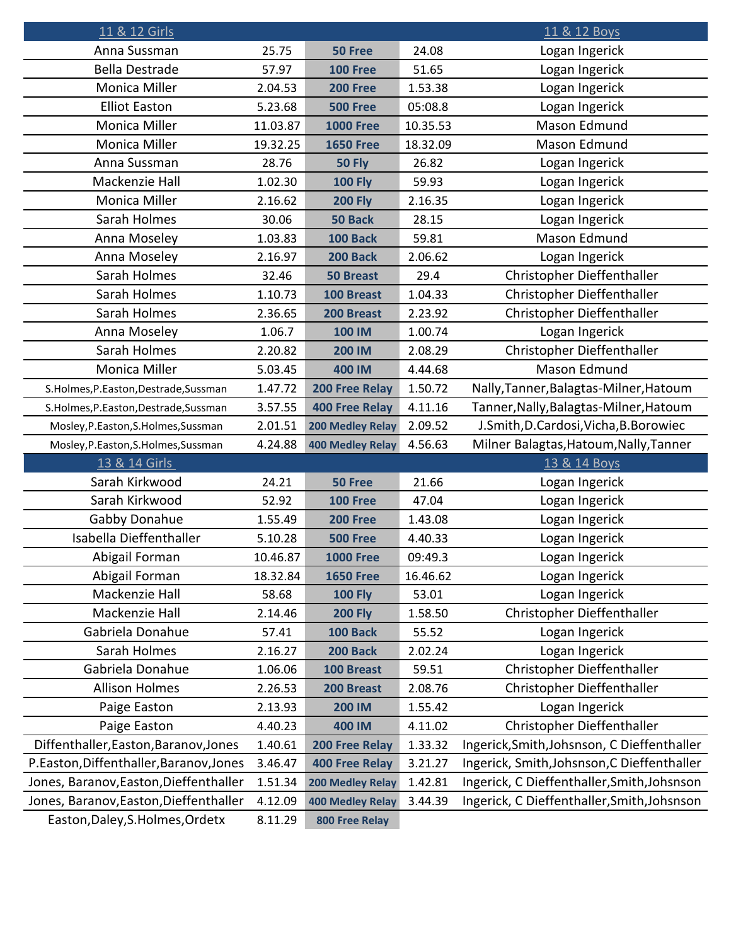| 11 & 12 Girls                           |          |                         |          | 11 & 12 Boys                                |
|-----------------------------------------|----------|-------------------------|----------|---------------------------------------------|
| Anna Sussman                            | 25.75    | 50 Free                 | 24.08    | Logan Ingerick                              |
| <b>Bella Destrade</b>                   | 57.97    | <b>100 Free</b>         | 51.65    | Logan Ingerick                              |
| Monica Miller                           | 2.04.53  | <b>200 Free</b>         | 1.53.38  | Logan Ingerick                              |
| <b>Elliot Easton</b>                    | 5.23.68  | <b>500 Free</b>         | 05:08.8  | Logan Ingerick                              |
| Monica Miller                           | 11.03.87 | <b>1000 Free</b>        | 10.35.53 | Mason Edmund                                |
| Monica Miller                           | 19.32.25 | <b>1650 Free</b>        | 18.32.09 | Mason Edmund                                |
| Anna Sussman                            | 28.76    | <b>50 Fly</b>           | 26.82    | Logan Ingerick                              |
| Mackenzie Hall                          | 1.02.30  | <b>100 Fly</b>          | 59.93    | Logan Ingerick                              |
| Monica Miller                           | 2.16.62  | <b>200 Fly</b>          | 2.16.35  | Logan Ingerick                              |
| Sarah Holmes                            | 30.06    | <b>50 Back</b>          | 28.15    | Logan Ingerick                              |
| Anna Moseley                            | 1.03.83  | <b>100 Back</b>         | 59.81    | Mason Edmund                                |
| Anna Moseley                            | 2.16.97  | 200 Back                | 2.06.62  | Logan Ingerick                              |
| Sarah Holmes                            | 32.46    | <b>50 Breast</b>        | 29.4     | Christopher Dieffenthaller                  |
| Sarah Holmes                            | 1.10.73  | 100 Breast              | 1.04.33  | Christopher Dieffenthaller                  |
| Sarah Holmes                            | 2.36.65  | 200 Breast              | 2.23.92  | Christopher Dieffenthaller                  |
| Anna Moseley                            | 1.06.7   | <b>100 IM</b>           | 1.00.74  | Logan Ingerick                              |
| Sarah Holmes                            | 2.20.82  | <b>200 IM</b>           | 2.08.29  | Christopher Dieffenthaller                  |
| Monica Miller                           | 5.03.45  | 400 IM                  | 4.44.68  | Mason Edmund                                |
| S.Holmes, P.Easton, Destrade, Sussman   | 1.47.72  | 200 Free Relay          | 1.50.72  | Nally, Tanner, Balagtas-Milner, Hatoum      |
| S.Holmes, P.Easton, Destrade, Sussman   | 3.57.55  | <b>400 Free Relay</b>   | 4.11.16  | Tanner, Nally, Balagtas-Milner, Hatoum      |
| Mosley, P.Easton, S.Holmes, Sussman     | 2.01.51  | 200 Medley Relay        | 2.09.52  | J.Smith, D.Cardosi, Vicha, B.Borowiec       |
| Mosley, P.Easton, S.Holmes, Sussman     | 4.24.88  | <b>400 Medley Relay</b> | 4.56.63  | Milner Balagtas, Hatoum, Nally, Tanner      |
| 13 & 14 Girls                           |          |                         |          | 13 & 14 Boys                                |
| Sarah Kirkwood                          | 24.21    | 50 Free                 | 21.66    | Logan Ingerick                              |
| Sarah Kirkwood                          | 52.92    | <b>100 Free</b>         | 47.04    | Logan Ingerick                              |
| Gabby Donahue                           | 1.55.49  | <b>200 Free</b>         | 1.43.08  | Logan Ingerick                              |
| Isabella Dieffenthaller                 | 5.10.28  | <b>500 Free</b>         | 4.40.33  | Logan Ingerick                              |
| Abigail Forman                          | 10.46.87 | <b>1000 Free</b>        | 09:49.3  | Logan Ingerick                              |
| Abigail Forman                          | 18.32.84 | <b>1650 Free</b>        | 16.46.62 | Logan Ingerick                              |
| Mackenzie Hall                          | 58.68    | <b>100 Fly</b>          | 53.01    | Logan Ingerick                              |
| Mackenzie Hall                          | 2.14.46  | <b>200 Fly</b>          | 1.58.50  | Christopher Dieffenthaller                  |
| Gabriela Donahue                        | 57.41    | 100 Back                | 55.52    | Logan Ingerick                              |
| Sarah Holmes                            | 2.16.27  | 200 Back                | 2.02.24  | Logan Ingerick                              |
| Gabriela Donahue                        | 1.06.06  | 100 Breast              | 59.51    | Christopher Dieffenthaller                  |
| <b>Allison Holmes</b>                   | 2.26.53  | 200 Breast              | 2.08.76  | Christopher Dieffenthaller                  |
| Paige Easton                            | 2.13.93  | <b>200 IM</b>           | 1.55.42  | Logan Ingerick                              |
| Paige Easton                            | 4.40.23  | 400 IM                  | 4.11.02  | Christopher Dieffenthaller                  |
| Diffenthaller, Easton, Baranov, Jones   | 1.40.61  | <b>200 Free Relay</b>   | 1.33.32  | Ingerick, Smith, Johsnson, C Dieffenthaller |
| P.Easton, Diffenthaller, Baranov, Jones | 3.46.47  | <b>400 Free Relay</b>   | 3.21.27  | Ingerick, Smith, Johsnson, C Dieffenthaller |
| Jones, Baranov, Easton, Dieffenthaller  | 1.51.34  | <b>200 Medley Relay</b> | 1.42.81  | Ingerick, C Dieffenthaller, Smith, Johsnson |
| Jones, Baranov, Easton, Dieffenthaller  | 4.12.09  | <b>400 Medley Relay</b> | 3.44.39  | Ingerick, C Dieffenthaller, Smith, Johsnson |
| Easton, Daley, S. Holmes, Ordetx        | 8.11.29  | 800 Free Relay          |          |                                             |